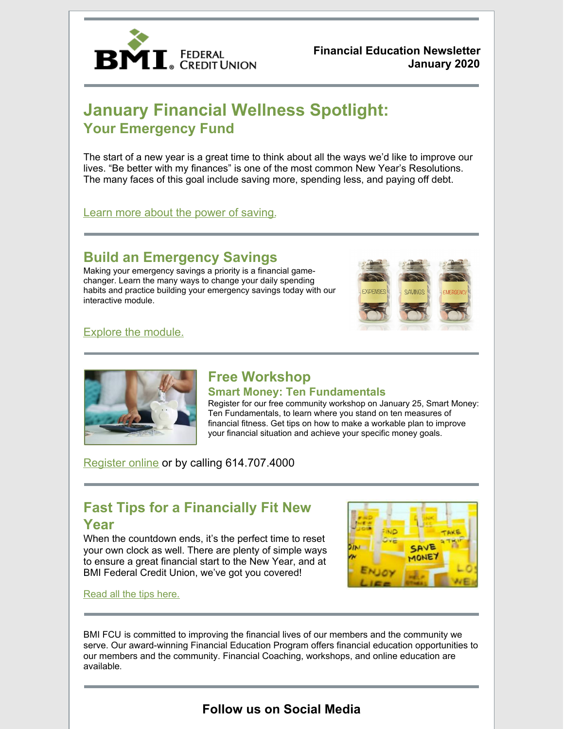

**Financial Education Newsletter January 2020**

# **January Financial Wellness Spotlight: Your Emergency Fund**

The start of a new year is a great time to think about all the ways we'd like to improve our lives. "Be better with my finances" is one of the most common New Year's Resolutions. The many faces of this goal include saving more, spending less, and paying off debt.

Learn more about the power of saving.

## **Build an Emergency Savings**

Making your emergency savings a priority is a financial gamechanger. Learn the many ways to change your daily spending habits and practice building your emergency savings today with our interactive module.



#### Explore the module.



## **Free Workshop**

#### **Smart Money: Ten Fundamentals**

Register for our free community workshop on January 25, Smart Money: Ten Fundamentals, to learn where you stand on ten measures of financial fitness. Get tips on how to make a workable plan to improve your financial situation and achieve your specific money goals.

Register online or by calling 614.707.4000

## **Fast Tips for a Financially Fit New Year**

When the countdown ends, it's the perfect time to reset your own clock as well. There are plenty of simple ways to ensure a great financial start to the New Year, and at BMI Federal Credit Union, we've got you covered!



Read all the tips here.

BMI FCU is committed to improving the financial lives of our members and the community we serve. Our award-winning Financial Education Program offers financial education opportunities to our members and the community. Financial Coaching, workshops, and online education are available.

### **Follow us on Social Media**